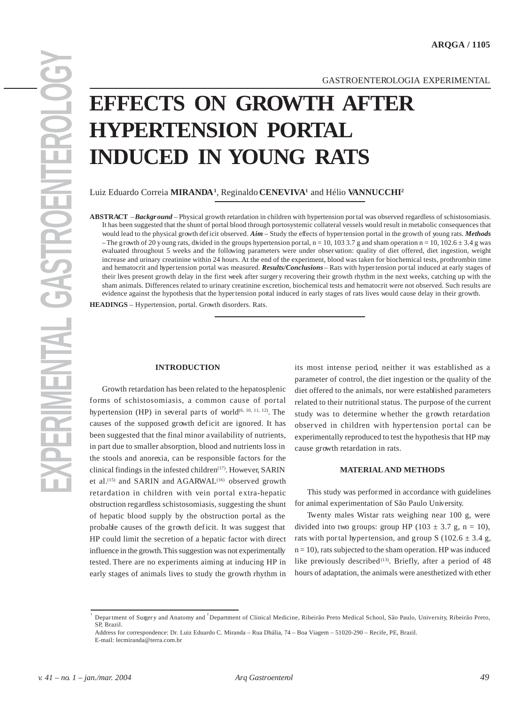# GASTROENTEROLOGIA EXPERIMENTAL

# **HYPERTENSION PORTAL INDUCED IN YOUNG RATS**

Luiz Eduardo Correia **MIRANDA1** , Reginaldo **CENEVIVA1** and Hélio **VANNUCCHI2**

**EXPECTS ON GROWTH AFTER**<br> **EXPECTS ON GROWTH AFTER**<br>
EXPERIENSION PORTAL<br>
EXPERIENSION PORTAL<br>
EXPERIENT SIGNS OF THE VALUE AND CONTRACT AND CONTRACT TREAT ON THE CONTRACT TREAT OF THE STANDAL CONTRACT TREAT TREAT OF THE **ABSTRACT** – *Background* – Physical growth retardation in children with hypertension portal was observed regardless of schistosomiasis. It has been suggested that the shunt of portal blood through portosystemic collateral vessels would result in metabolic consequences that would lead to the physical growth deficit observed. *Aim* – Study the effects of hypertension portal in the growth of young rats. *Methods* – The growth of 20 young rats, divided in the groups hypertension portal,  $n = 10$ , 103 3.7 g and sham operation  $n = 10$ , 102.6  $\pm$  3.4 g was evaluated throughout 5 weeks and the following parameters were under observation: quality of diet offered, diet ingestion, weight increase and urinary creatinine within 24 hours. At the end of the experiment, blood was taken for biochemical tests, prothrombin time and hematocrit and hypertension portal was measured. *Results/Conclusions* – Rats with hypertension portal induced at early stages of their lives present growth delay in the first week after surgery recovering their growth rhythm in the next weeks, catching up with the sham animals. Differences related to urinary creatinine excretion, biochemical tests and hematocrit were not observed. Such results are evidence against the hypothesis that the hypertension portal induced in early stages of rats lives would cause delay in their growth.

**HEADINGS** – Hypertension, portal. Growth disorders. Rats.

#### **INTRODUCTION**

Growth retardation has been related to the hepatosplenic forms of schistosomiasis, a common cause of portal hypertension (HP) in several parts of world $(6, 10, 11, 12)$ . The causes of the supposed growth deficit are ignored. It has been suggested that the final minor availability of nutrients, in part due to smaller absorption, blood and nutrients loss in the stools and anorexia, can be responsible factors for the clinical findings in the infested children<sup>(17)</sup>. However, SARIN et al.<sup>(15)</sup> and SARIN and AGARWAL<sup>(16)</sup> observed growth retardation in children with vein portal extra-hepatic obstruction regardless schistosomiasis, suggesting the shunt of hepatic blood supply by the obstruction portal as the probable causes of the growth deficit. It was suggest that HP could limit the secretion of a hepatic factor with direct influence in the growth. This suggestion was not experimentally tested. There are no experiments aiming at inducing HP in early stages of animals lives to study the growth rhythm in

its most intense period, neither it was established as a parameter of control, the diet ingestion or the quality of the diet offered to the animals, nor were established parameters related to their nutritional status. The purpose of the current study was to determine whether the growth retardation observed in children with hypertension portal can be experimentally reproduced to test the hypothesis that HP may cause growth retardation in rats.

#### **MATERIAL AND METHODS**

This study was performed in accordance with guidelines for animal experimentation of São Paulo University.

Twenty males Wistar rats weighing near 100 g, were divided into two groups: group HP (103  $\pm$  3.7 g, n = 10), rats with portal hypertension, and group S ( $102.6 \pm 3.4$  g,  $n = 10$ ), rats subjected to the sham operation. HP was induced like previously described<sup>(13)</sup>. Briefly, after a period of 48 hours of adaptation, the animals were anesthetized with ether

<sup>1</sup> Depar tment of Surgery and Anatomy and <sup>2</sup> Department of Clinical Medicine, Ribeirão Preto Medical School, São Paulo, University, Ribeirão Preto, SP, Brazil.

Address for correspondence: Dr. Luiz Eduardo C. Miranda – Rua Dhália, 74 – Boa Viagem – 51020-290 – Recife, PE, Brazil. E-mail: lecmiranda@terra.com.br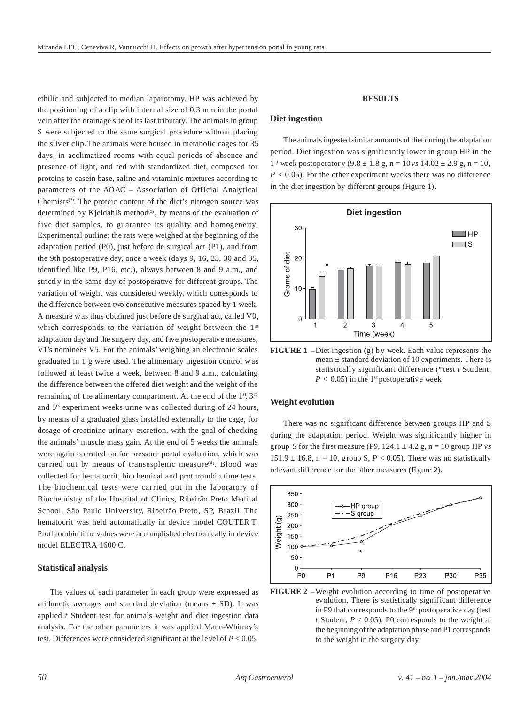ethilic and subjected to median laparotomy. HP was achieved by the positioning of a clip with internal size of 0,3 mm in the portal vein after the drainage site of its last tributary. The animals in group S were subjected to the same surgical procedure without placing the silver clip. The animals were housed in metabolic cages for 35 days, in acclimatized rooms with equal periods of absence and presence of light, and fed with standardized diet, composed for proteins to casein base, saline and vitaminic mixtures according to parameters of the AOAC – Association of Official Analytical Chemists<sup>(3)</sup>. The proteic content of the diet's nitrogen source was determined by Kjeldahl's method<sup>(5)</sup>, by means of the evaluation of five diet samples, to guarantee its quality and homogeneity. Experimental outline: the rats were weighed at the beginning of the adaptation period (P0), just before de surgical act (P1), and from the 9th postoperative day, once a week (days 9, 16, 23, 30 and 35, identified like P9, P16, etc.), always between 8 and 9 a.m., and strictly in the same day of postoperative for different groups. The variation of weight was considered weekly, which corresponds to the difference between two consecutive measures spaced by 1 week. A measure was thus obtained just before de surgical act, called V0, which corresponds to the variation of weight between the 1<sup>st</sup> adaptation day and the surgery day, and five postoperative measures, V1's nominees V5. For the animals' weighing an electronic scales graduated in 1 g were used. The alimentary ingestion control was followed at least twice a week, between 8 and 9 a.m., calculating the difference between the offered diet weight and the weight of the remaining of the alimentary compartment. At the end of the 1<sup>st</sup>, 3<sup>rd</sup> and 5<sup>th</sup> experiment weeks urine was collected during of 24 hours, by means of a graduated glass installed externally to the cage, for dosage of creatinine urinary excretion, with the goal of checking the animals' muscle mass gain. At the end of 5 weeks the animals were again operated on for pressure portal evaluation, which was carried out by means of transesplenic measure<sup>(4)</sup>. Blood was collected for hematocrit, biochemical and prothrombin time tests. The biochemical tests were carried out in the laboratory of Biochemistry of the Hospital of Clinics, Ribeirão Preto Medical School, São Paulo University, Ribeirão Preto, SP, Brazil. The hematocrit was held automatically in device model COUTER T. Prothrombin time values were accomplished electronically in device model ELECTRA 1600 C.

## **Statistical analysis**

The values of each parameter in each group were expressed as arithmetic averages and standard deviation (means  $\pm$  SD). It was applied *t* Student test for animals weight and diet ingestion data analysis. For the other parameters it was applied Mann-Whitney's test. Differences were considered significant at the level of  $P < 0.05$ .

#### **RESULTS**

# **Diet ingestion**

The animals ingested similar amounts of diet during the adaptation period. Diet ingestion was significantly lower in group HP in the 1<sup>st</sup> week postoperatory  $(9.8 \pm 1.8 \text{ g}, \text{n} = 10 \text{ vs } 14.02 \pm 2.9 \text{ g}, \text{n} = 10,$  $P < 0.05$ ). For the other experiment weeks there was no difference in the diet ingestion by different groups (Figure 1).



**FIGURE 1** –Diet ingestion (g) by week. Each value represents the mean  $\pm$  standard deviation of 10 experiments. There is statistically significant difference (\*test *t* Student,  $P < 0.05$ ) in the 1<sup>st</sup> postoperative week

#### **Weight evolution**

There was no significant difference between groups HP and S during the adaptation period. Weight was significantly higher in group S for the first measure (P9,  $124.1 \pm 4.2$  g,  $n = 10$  group HP *vs* 151.9  $\pm$  16.8, n = 10, group S,  $P < 0.05$ ). There was no statistically relevant difference for the other measures (Figure 2).



**FIGURE 2** –Weight evolution according to time of postoperative evolution. There is statistically significant difference in P9 that corresponds to the 9<sup>th</sup> postoperative day (test *t* Student,  $P < 0.05$ ). P0 corresponds to the weight at the beginning of the adaptation phase and P1 corresponds to the weight in the surgery day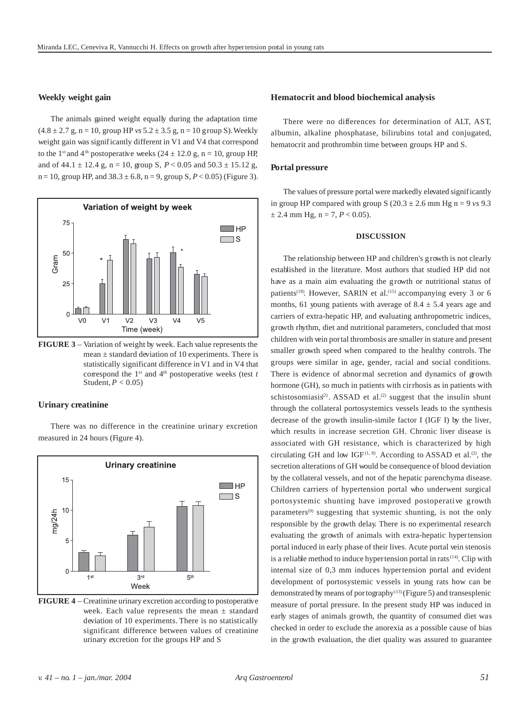#### **Weekly weight gain**

The animals gained weight equally during the adaptation time  $(4.8 \pm 2.7 \text{ g}, \text{n} = 10, \text{ group HP vs } 5.2 \pm 3.5 \text{ g}, \text{n} = 10 \text{ group S}).$  Weekly weight gain was significantly different in V1 and V4 that correspond to the 1<sup>st</sup> and 4<sup>th</sup> postoperative weeks (24  $\pm$  12.0 g, n = 10, group HP, and of  $44.1 \pm 12.4$  g, n = 10, group S,  $P < 0.05$  and  $50.3 \pm 15.12$  g,  $n = 10$ , group HP, and  $38.3 \pm 6.8$ ,  $n = 9$ , group S,  $P < 0.05$ ) (Figure 3).



**FIGURE 3** – Variation of weight by week. Each value represents the mean  $\pm$  standard deviation of 10 experiments. There is statistically significant difference in V1 and in V4 that correspond the  $1<sup>st</sup>$  and  $4<sup>th</sup>$  postoperative weeks (test  $t$ Student,  $P < 0.05$ )

## **Urinary creatinine**



There was no difference in the creatinine urinary excretion measured in 24 hours (Figure 4).

**FIGURE 4** – Creatinine urinary excretion according to postoperative week. Each value represents the mean  $\pm$  standard deviation of 10 experiments. There is no statistically significant difference between values of creatinine urinary excretion for the groups HP and S

## **Hematocrit and blood biochemical analysis**

There were no differences for determination of ALT, AST, albumin, alkaline phosphatase, bilirubins total and conjugated, hematocrit and prothrombin time between groups HP and S.

#### **Portal pressure**

The values of pressure portal were markedly elevated significantly in group HP compared with group S  $(20.3 \pm 2.6 \text{ mm Hg n} = 9 \text{ vs } 9.3$  $\pm$  2.4 mm Hg, n = 7, *P* < 0.05).

#### **DISCUSSION**

The relationship between HP and children's growth is not clearly established in the literature. Most authors that studied HP did not have as a main aim evaluating the growth or nutritional status of patients<sup>(18)</sup>. However, SARIN et al.<sup>(15)</sup> accompanying every 3 or 6 months, 61 young patients with average of  $8.4 \pm 5.4$  years age and carriers of extra-hepatic HP, and evaluating anthropometric indices, growth rhythm, diet and nutritional parameters, concluded that most children with vein portal thrombosis are smaller in stature and present smaller growth speed when compared to the healthy controls. The groups were similar in age, gender, racial and social conditions. There is evidence of abnormal secretion and dynamics of growth hormone (GH), so much in patients with cirrhosis as in patients with schistosomiasis<sup>(2)</sup>. ASSAD et al.<sup>(2)</sup> suggest that the insulin shunt through the collateral portosystemics vessels leads to the synthesis decrease of the growth insulin-simile factor I (IGF I) by the liver, which results in increase secretion GH. Chronic liver disease is associated with GH resistance, which is characterized by high circulating GH and low  $IGF<sup>(1, 8)</sup>$ . According to ASSAD et al.<sup>(2)</sup>, the secretion alterations of GH would be consequence of blood deviation by the collateral vessels, and not of the hepatic parenchyma disease. Children carriers of hypertension portal who underwent surgical portosystemic shunting have improved postoperative growth parameters<sup>(9)</sup> suggesting that systemic shunting, is not the only responsible by the growth delay. There is no experimental research evaluating the growth of animals with extra-hepatic hypertension portal induced in early phase of their lives. Acute portal vein stenosis is a reliable method to induce hypertension portal in rats<sup>(14)</sup>. Clip with internal size of 0,3 mm induces hypertension portal and evident development of portosystemic vessels in young rats how can be demonstrated by means of portography<sup>(13)</sup> (Figure 5) and transesplenic measure of portal pressure. In the present study HP was induced in early stages of animals growth, the quantity of consumed diet was checked in order to exclude the anorexia as a possible cause of bias in the growth evaluation, the diet quality was assured to guarantee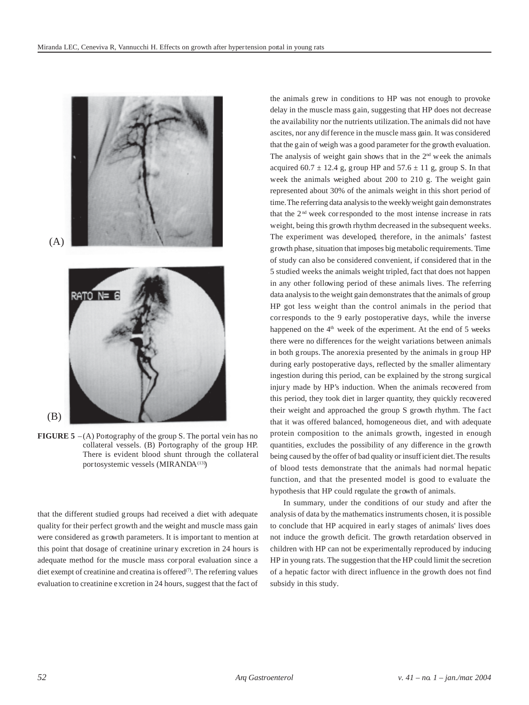

**FIGURE 5** –(A) Portography of the group S. The portal vein has no collateral vessels. (B) Portography of the group HP. There is evident blood shunt through the collateral portosystemic vessels (MIRANDA<sup>(13)</sup>)

that the different studied groups had received a diet with adequate quality for their perfect growth and the weight and muscle mass gain were considered as growth parameters. It is important to mention at this point that dosage of creatinine urinary excretion in 24 hours is adequate method for the muscle mass corporal evaluation since a diet exempt of creatinine and creatina is offered $(7)$ . The referring values evaluation to creatinine excretion in 24 hours, suggest that the fact of the animals grew in conditions to HP was not enough to provoke delay in the muscle mass gain, suggesting that HP does not decrease the availability nor the nutrients utilization. The animals did not have ascites, nor any difference in the muscle mass gain. It was considered that the gain of weigh was a good parameter for the growth evaluation. The analysis of weight gain shows that in the  $2<sup>nd</sup>$  week the animals acquired 60.7  $\pm$  12.4 g, group HP and 57.6  $\pm$  11 g, group S. In that week the animals weighed about 200 to 210 g. The weight gain represented about 30% of the animals weight in this short period of time. The referring data analysis to the weekly weight gain demonstrates that the  $2<sup>nd</sup>$  week corresponded to the most intense increase in rats weight, being this growth rhythm decreased in the subsequent weeks. The experiment was developed, therefore, in the animals' fastest growth phase, situation that imposes big metabolic requirements. Time of study can also be considered convenient, if considered that in the 5 studied weeks the animals weight tripled, fact that does not happen in any other following period of these animals lives. The referring data analysis to the weight gain demonstrates that the animals of group HP got less weight than the control animals in the period that corresponds to the 9 early postoperative days, while the inverse happened on the  $4<sup>th</sup>$  week of the experiment. At the end of 5 weeks there were no differences for the weight variations between animals in both groups. The anorexia presented by the animals in group HP during early postoperative days, reflected by the smaller alimentary ingestion during this period, can be explained by the strong surgical injury made by HP's induction. When the animals recovered from this period, they took diet in larger quantity, they quickly recovered their weight and approached the group S growth rhythm. The fact that it was offered balanced, homogeneous diet, and with adequate protein composition to the animals growth, ingested in enough quantities, excludes the possibility of any difference in the growth being caused by the offer of bad quality or insufficient diet. The results of blood tests demonstrate that the animals had normal hepatic function, and that the presented model is good to evaluate the hypothesis that HP could regulate the growth of animals.

In summary, under the conditions of our study and after the analysis of data by the mathematics instruments chosen, it is possible to conclude that HP acquired in early stages of animals' lives does not induce the growth deficit. The growth retardation observed in children with HP can not be experimentally reproduced by inducing HP in young rats. The suggestion that the HP could limit the secretion of a hepatic factor with direct influence in the growth does not find subsidy in this study.